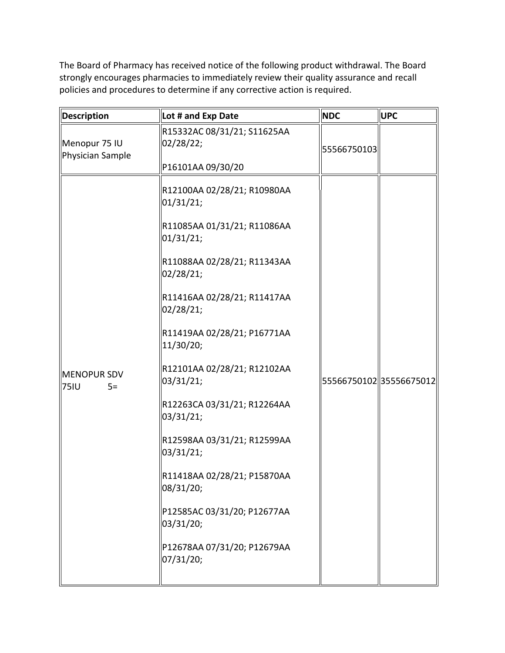The Board of Pharmacy has received notice of the following product withdrawal. The Board strongly encourages pharmacies to immediately review their quality assurance and recall policies and procedures to determine if any corrective action is required.

| Description                        | Lot # and Exp Date                                                                                                                                                                                                                                                                                                                                                                                                                                                                                                    | <b>NDC</b>             | <b>UPC</b> |
|------------------------------------|-----------------------------------------------------------------------------------------------------------------------------------------------------------------------------------------------------------------------------------------------------------------------------------------------------------------------------------------------------------------------------------------------------------------------------------------------------------------------------------------------------------------------|------------------------|------------|
| Menopur 75 IU<br>Physician Sample  | R15332AC 08/31/21; S11625AA<br>02/28/22;                                                                                                                                                                                                                                                                                                                                                                                                                                                                              | 55566750103            |            |
| MENOPUR SDV<br><b>75IU</b><br>$5=$ | P16101AA 09/30/20<br>R12100AA 02/28/21; R10980AA<br>01/31/21;<br>R11085AA 01/31/21; R11086AA<br>01/31/21;<br>R11088AA 02/28/21; R11343AA<br>02/28/21;<br>R11416AA 02/28/21; R11417AA<br>02/28/21;<br>R11419AA 02/28/21; P16771AA<br>11/30/20;<br>R12101AA 02/28/21; R12102AA<br>03/31/21;<br>R12263CA 03/31/21; R12264AA<br>03/31/21;<br>R12598AA 03/31/21; R12599AA<br>03/31/21;<br>R11418AA 02/28/21; P15870AA<br>08/31/20;<br>P12585AC 03/31/20; P12677AA<br>03/31/20;<br>P12678AA 07/31/20; P12679AA<br>07/31/20; | 5556675010235556675012 |            |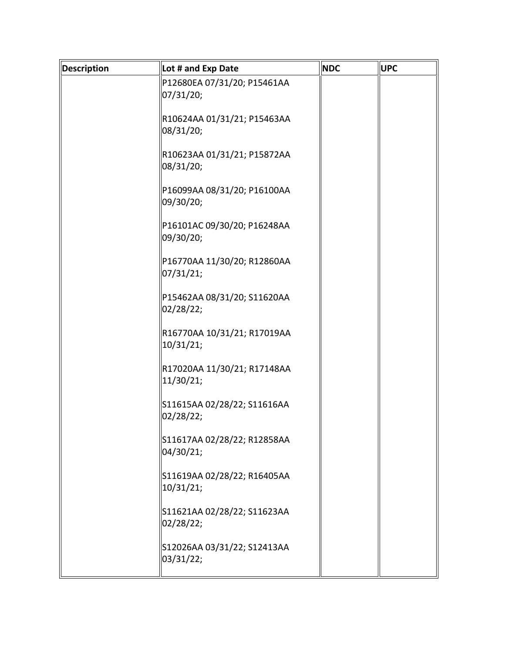| Description | Lot # and Exp Date                       | <b>NDC</b> | <b>UPC</b> |
|-------------|------------------------------------------|------------|------------|
|             | P12680EA 07/31/20; P15461AA              |            |            |
|             | 07/31/20;                                |            |            |
|             | R10624AA 01/31/21; P15463AA              |            |            |
|             | 08/31/20;                                |            |            |
|             | R10623AA 01/31/21; P15872AA              |            |            |
|             | 08/31/20;                                |            |            |
|             |                                          |            |            |
|             | P16099AA 08/31/20; P16100AA<br>09/30/20; |            |            |
|             |                                          |            |            |
|             | P16101AC 09/30/20; P16248AA              |            |            |
|             | 09/30/20;                                |            |            |
|             | P16770AA 11/30/20; R12860AA              |            |            |
|             | 07/31/21;                                |            |            |
|             | P15462AA 08/31/20; S11620AA              |            |            |
|             | 02/28/22;                                |            |            |
|             | R16770AA 10/31/21; R17019AA              |            |            |
|             | 10/31/21;                                |            |            |
|             |                                          |            |            |
|             | R17020AA 11/30/21; R17148AA<br>11/30/21; |            |            |
|             |                                          |            |            |
|             | S11615AA 02/28/22; S11616AA<br>02/28/22; |            |            |
|             |                                          |            |            |
|             | S11617AA 02/28/22; R12858AA              |            |            |
|             | 04/30/21;                                |            |            |
|             | S11619AA 02/28/22; R16405AA              |            |            |
|             | 10/31/21;                                |            |            |
|             | S11621AA 02/28/22; S11623AA              |            |            |
|             | 02/28/22;                                |            |            |
|             |                                          |            |            |
|             | S12026AA 03/31/22; S12413AA<br>03/31/22; |            |            |
|             |                                          |            |            |